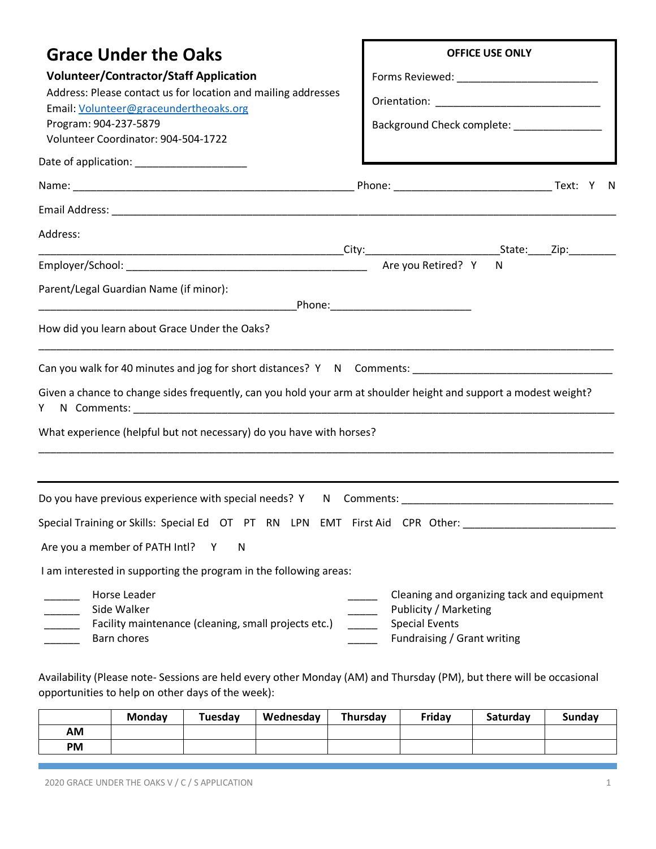| <b>Grace Under the Oaks</b><br><b>Volunteer/Contractor/Staff Application</b><br>Address: Please contact us for location and mailing addresses<br>Email: Volunteer@graceundertheoaks.org | <b>OFFICE USE ONLY</b>                                                                                                                                                 |  |  |
|-----------------------------------------------------------------------------------------------------------------------------------------------------------------------------------------|------------------------------------------------------------------------------------------------------------------------------------------------------------------------|--|--|
| Program: 904-237-5879<br>Volunteer Coordinator: 904-504-1722                                                                                                                            | Background Check complete: ________________                                                                                                                            |  |  |
|                                                                                                                                                                                         |                                                                                                                                                                        |  |  |
|                                                                                                                                                                                         |                                                                                                                                                                        |  |  |
|                                                                                                                                                                                         |                                                                                                                                                                        |  |  |
| Address:                                                                                                                                                                                |                                                                                                                                                                        |  |  |
|                                                                                                                                                                                         | N                                                                                                                                                                      |  |  |
| Parent/Legal Guardian Name (if minor):                                                                                                                                                  |                                                                                                                                                                        |  |  |
| How did you learn about Grace Under the Oaks?                                                                                                                                           |                                                                                                                                                                        |  |  |
| Can you walk for 40 minutes and jog for short distances? Y N Comments: ___________________________________                                                                              |                                                                                                                                                                        |  |  |
| Given a chance to change sides frequently, can you hold your arm at shoulder height and support a modest weight?<br>Y.                                                                  |                                                                                                                                                                        |  |  |
| What experience (helpful but not necessary) do you have with horses?                                                                                                                    |                                                                                                                                                                        |  |  |
|                                                                                                                                                                                         |                                                                                                                                                                        |  |  |
| Do you have previous experience with special needs? Y N Comments:                                                                                                                       |                                                                                                                                                                        |  |  |
| Special Training or Skills: Special Ed OT PT RN LPN EMT First Aid CPR Other: ______________________                                                                                     |                                                                                                                                                                        |  |  |
| Are you a member of PATH Intl? Y<br>${\sf N}$                                                                                                                                           |                                                                                                                                                                        |  |  |
| I am interested in supporting the program in the following areas:                                                                                                                       |                                                                                                                                                                        |  |  |
| Horse Leader<br>Side Walker<br>Facility maintenance (cleaning, small projects etc.)<br>Barn chores                                                                                      | Cleaning and organizing tack and equipment<br>Publicity / Marketing<br><b>Special Events</b><br>$\mathcal{L}^{\text{max}}_{\text{max}}$<br>Fundraising / Grant writing |  |  |

Availability (Please note- Sessions are held every other Monday (AM) and Thursday (PM), but there will be occasional opportunities to help on other days of the week):

|    | <b>Monday</b> | Tuesday | Wednesday | Thursday | Friday | <b>Saturdav</b> | <b>Sunday</b> |
|----|---------------|---------|-----------|----------|--------|-----------------|---------------|
| АM |               |         |           |          |        |                 |               |
| PM |               |         |           |          |        |                 |               |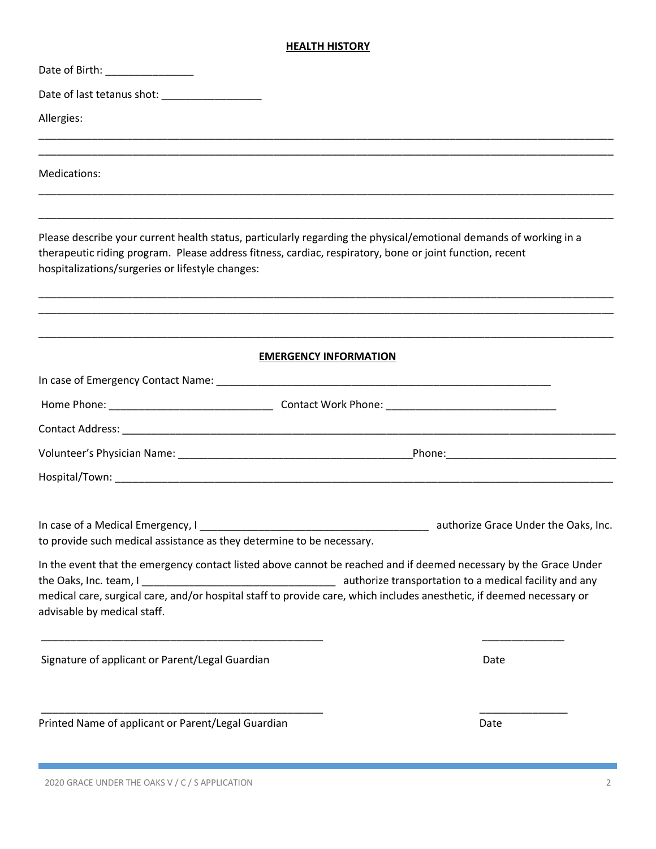# **HEALTH HISTORY**

| Date of Birth: __________________                                                                                                                                                                                                                                                 |      |
|-----------------------------------------------------------------------------------------------------------------------------------------------------------------------------------------------------------------------------------------------------------------------------------|------|
|                                                                                                                                                                                                                                                                                   |      |
| Allergies:                                                                                                                                                                                                                                                                        |      |
|                                                                                                                                                                                                                                                                                   |      |
| Medications:                                                                                                                                                                                                                                                                      |      |
| Please describe your current health status, particularly regarding the physical/emotional demands of working in a<br>therapeutic riding program. Please address fitness, cardiac, respiratory, bone or joint function, recent<br>hospitalizations/surgeries or lifestyle changes: |      |
| <b>EMERGENCY INFORMATION</b>                                                                                                                                                                                                                                                      |      |
|                                                                                                                                                                                                                                                                                   |      |
|                                                                                                                                                                                                                                                                                   |      |
|                                                                                                                                                                                                                                                                                   |      |
|                                                                                                                                                                                                                                                                                   |      |
|                                                                                                                                                                                                                                                                                   |      |
| to provide such medical assistance as they determine to be necessary.                                                                                                                                                                                                             |      |
| In the event that the emergency contact listed above cannot be reached and if deemed necessary by the Grace Under<br>medical care, surgical care, and/or hospital staff to provide care, which includes anesthetic, if deemed necessary or<br>advisable by medical staff.         |      |
| Signature of applicant or Parent/Legal Guardian                                                                                                                                                                                                                                   | Date |
| Printed Name of applicant or Parent/Legal Guardian                                                                                                                                                                                                                                | Date |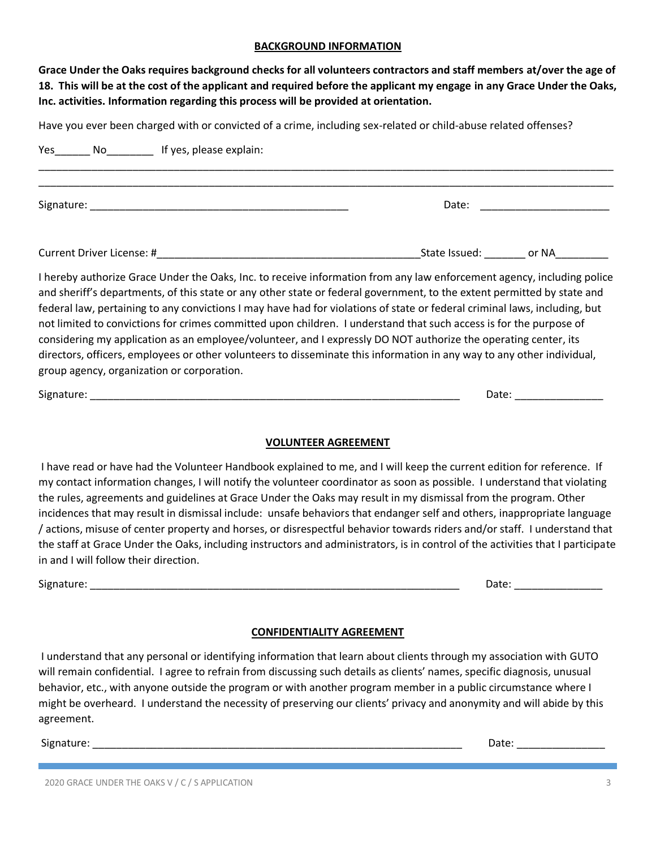#### **BACKGROUND INFORMATION**

**Grace Under the Oaks requires background checks for all volunteers contractors and staff members at/over the age of 18. This will be at the cost of the applicant and required before the applicant my engage in any Grace Under the Oaks, Inc. activities. Information regarding this process will be provided at orientation.**

Have you ever been charged with or convicted of a crime, including sex-related or child-abuse related offenses?

| Yes No If yes, please explain:                                                                                                                                                                                                                                                                                                                                                                                                                                                                                                                                                                                                                                                                                                                                                                   |                                                                                                                                                                                                                                |
|--------------------------------------------------------------------------------------------------------------------------------------------------------------------------------------------------------------------------------------------------------------------------------------------------------------------------------------------------------------------------------------------------------------------------------------------------------------------------------------------------------------------------------------------------------------------------------------------------------------------------------------------------------------------------------------------------------------------------------------------------------------------------------------------------|--------------------------------------------------------------------------------------------------------------------------------------------------------------------------------------------------------------------------------|
|                                                                                                                                                                                                                                                                                                                                                                                                                                                                                                                                                                                                                                                                                                                                                                                                  | Date: the contract of the contract of the contract of the contract of the contract of the contract of the contract of the contract of the contract of the contract of the contract of the contract of the contract of the cont |
|                                                                                                                                                                                                                                                                                                                                                                                                                                                                                                                                                                                                                                                                                                                                                                                                  |                                                                                                                                                                                                                                |
| I hereby authorize Grace Under the Oaks, Inc. to receive information from any law enforcement agency, including police<br>and sheriff's departments, of this state or any other state or federal government, to the extent permitted by state and<br>federal law, pertaining to any convictions I may have had for violations of state or federal criminal laws, including, but<br>not limited to convictions for crimes committed upon children. I understand that such access is for the purpose of<br>considering my application as an employee/volunteer, and I expressly DO NOT authorize the operating center, its<br>directors, officers, employees or other volunteers to disseminate this information in any way to any other individual,<br>group agency, organization or corporation. |                                                                                                                                                                                                                                |

Signature: \_\_\_\_\_\_\_\_\_\_\_\_\_\_\_\_\_\_\_\_\_\_\_\_\_\_\_\_\_\_\_\_\_\_\_\_\_\_\_\_\_\_\_\_\_\_\_\_\_\_\_\_\_\_\_\_\_\_\_\_\_\_\_ Date: \_\_\_\_\_\_\_\_\_\_\_\_\_\_\_

### **VOLUNTEER AGREEMENT**

I have read or have had the Volunteer Handbook explained to me, and I will keep the current edition for reference. If my contact information changes, I will notify the volunteer coordinator as soon as possible. I understand that violating the rules, agreements and guidelines at Grace Under the Oaks may result in my dismissal from the program. Other incidences that may result in dismissal include: unsafe behaviors that endanger self and others, inappropriate language / actions, misuse of center property and horses, or disrespectful behavior towards riders and/or staff. I understand that the staff at Grace Under the Oaks, including instructors and administrators, is in control of the activities that I participate in and I will follow their direction.

Signature: \_\_\_\_\_\_\_\_\_\_\_\_\_\_\_\_\_\_\_\_\_\_\_\_\_\_\_\_\_\_\_\_\_\_\_\_\_\_\_\_\_\_\_\_\_\_\_\_\_\_\_\_\_\_\_\_\_\_\_\_\_\_\_ Date: \_\_\_\_\_\_\_\_\_\_\_\_\_\_\_

### **CONFIDENTIALITY AGREEMENT**

I understand that any personal or identifying information that learn about clients through my association with GUTO will remain confidential. I agree to refrain from discussing such details as clients' names, specific diagnosis, unusual behavior, etc., with anyone outside the program or with another program member in a public circumstance where I might be overheard. I understand the necessity of preserving our clients' privacy and anonymity and will abide by this agreement.

Signature: \_\_\_\_\_\_\_\_\_\_\_\_\_\_\_\_\_\_\_\_\_\_\_\_\_\_\_\_\_\_\_\_\_\_\_\_\_\_\_\_\_\_\_\_\_\_\_\_\_\_\_\_\_\_\_\_\_\_\_\_\_\_\_ Date: \_\_\_\_\_\_\_\_\_\_\_\_\_\_\_